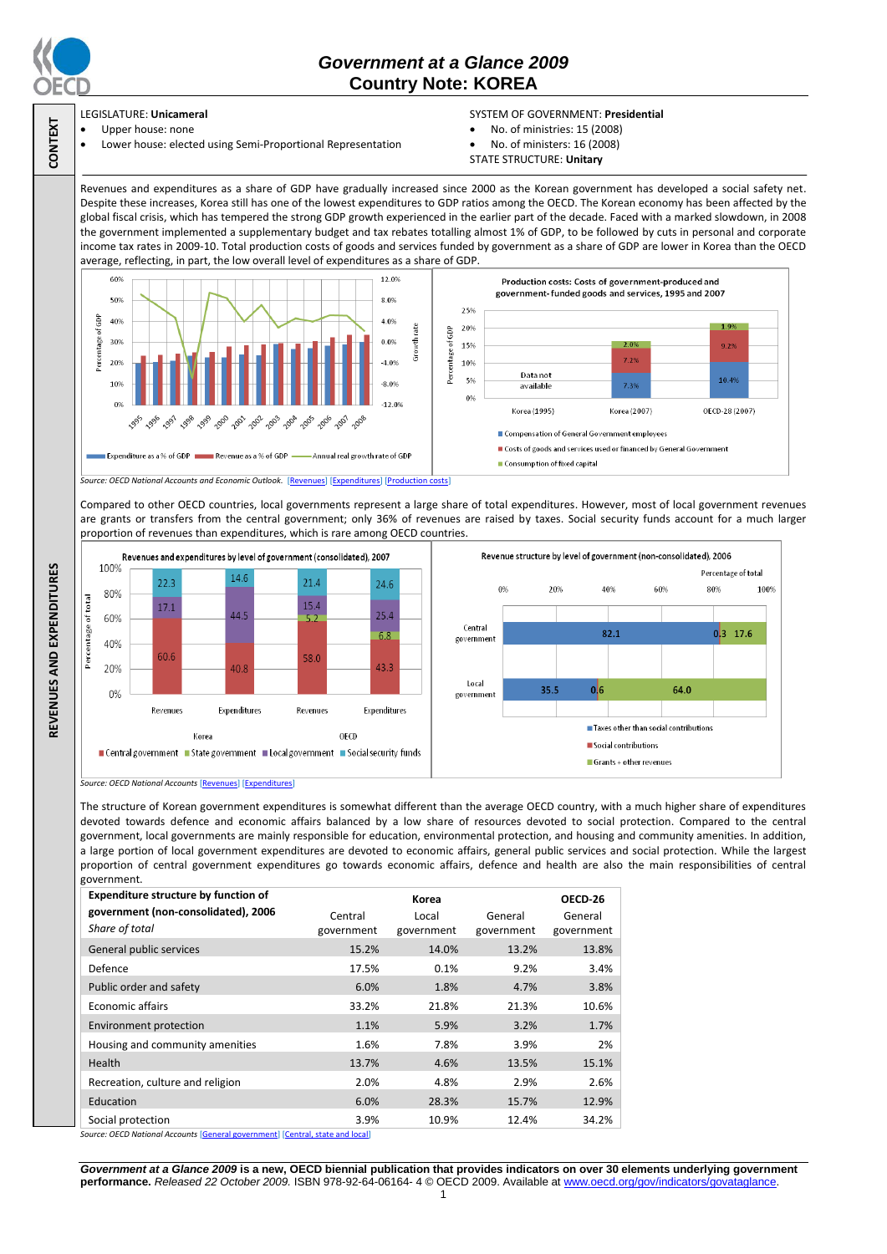

**CONTEXT**

**REVENUES AND EXPENDITURES**

REVENUES AND EXPENDITURES

# *Government at a Glance 2009*  **Country Note: KOREA**

### LEGISLATURE: **Unicameral**

### Upper house: none

Lower house: elected using Semi-Proportional Representation

### SYSTEM OF GOVERNMENT: **Presidential**

- No. of ministries: 15 (2008)
- No. of ministers: 16 (2008)
- STATE STRUCTURE: **Unitary**

Revenues and expenditures as a share of GDP have gradually increased since 2000 as the Korean government has developed a social safety net. Despite these increases, Korea still has one of the lowest expenditures to GDP ratios among the OECD. The Korean economy has been affected by the global fiscal crisis, which has tempered the strong GDP growth experienced in the earlier part of the decade. Faced with a marked slowdown, in 2008 the government implemented a supplementary budget and tax rebates totalling almost 1% of GDP, to be followed by cuts in personal and corporate income tax rates in 2009-10. Total production costs of goods and services funded by government as a share of GDP are lower in Korea than the OECD average, reflecting, in part, the low overall level of expenditures as a share of GDP.



Compared to other OECD countries, local governments represent a large share of total expenditures. However, most of local government revenues are grants or transfers from the central government; only 36% of revenues are raised by taxes. Social security funds account for a much larger proportion of revenues than expenditures, which is rare among OECD countries.



*Source: OECD National Accounts* [\[Revenues\]](http://dx.doi.org/10.1787/723418413857) [\[Expenditures\]](http://dx.doi.org/10.1787/723508524025)

The structure of Korean government expenditures is somewhat different than the average OECD country, with a much higher share of expenditures devoted towards defence and economic affairs balanced by a low share of resources devoted to social protection. Compared to the central government, local governments are mainly responsible for education, environmental protection, and housing and community amenities. In addition, a large portion of local government expenditures are devoted to economic affairs, general public services and social protection. While the largest proportion of central government expenditures go towards economic affairs, defence and health are also the main responsibilities of central government.

| <b>Expenditure structure by function of</b>                                   |            | OECD-26    |            |            |
|-------------------------------------------------------------------------------|------------|------------|------------|------------|
| government (non-consolidated), 2006                                           | Central    | Local      | General    | General    |
| Share of total                                                                | government | government | government | government |
| General public services                                                       | 15.2%      | 14.0%      | 13.2%      | 13.8%      |
| Defence                                                                       | 17.5%      | 0.1%       | 9.2%       | 3.4%       |
| Public order and safety                                                       | 6.0%       | 1.8%       | 4.7%       | 3.8%       |
| <b>Economic affairs</b>                                                       | 33.2%      | 21.8%      | 21.3%      | 10.6%      |
| Environment protection                                                        | 1.1%       | 5.9%       | 3.2%       | 1.7%       |
| Housing and community amenities                                               | 1.6%       | 7.8%       | 3.9%       | 2%         |
| Health                                                                        | 13.7%      | 4.6%       | 13.5%      | 15.1%      |
| Recreation, culture and religion                                              | 2.0%       | 4.8%       | 2.9%       | 2.6%       |
| Education                                                                     | 6.0%       | 28.3%      | 15.7%      | 12.9%      |
| Social protection                                                             | 3.9%       | 10.9%      | 12.4%      | 34.2%      |
| Course: OECD National Asseunts [Conoral government] [Contral state and local] |            |            |            |            |

*Source: OECD National Accounts* [\[General government\]](http://dx.doi.org/10.1787/723501646741) [\[Central, state and local\]](http://dx.doi.org/10.1787/723508524025)

*Government at a Glance 2009* **is a new, OECD biennial publication that provides indicators on over 30 elements underlying government performance.** *Released 22 October 2009.* ISBN 978-92-64-06164- 4 © OECD 2009. Available at www.oecd.org/gov/indicators/govataglance.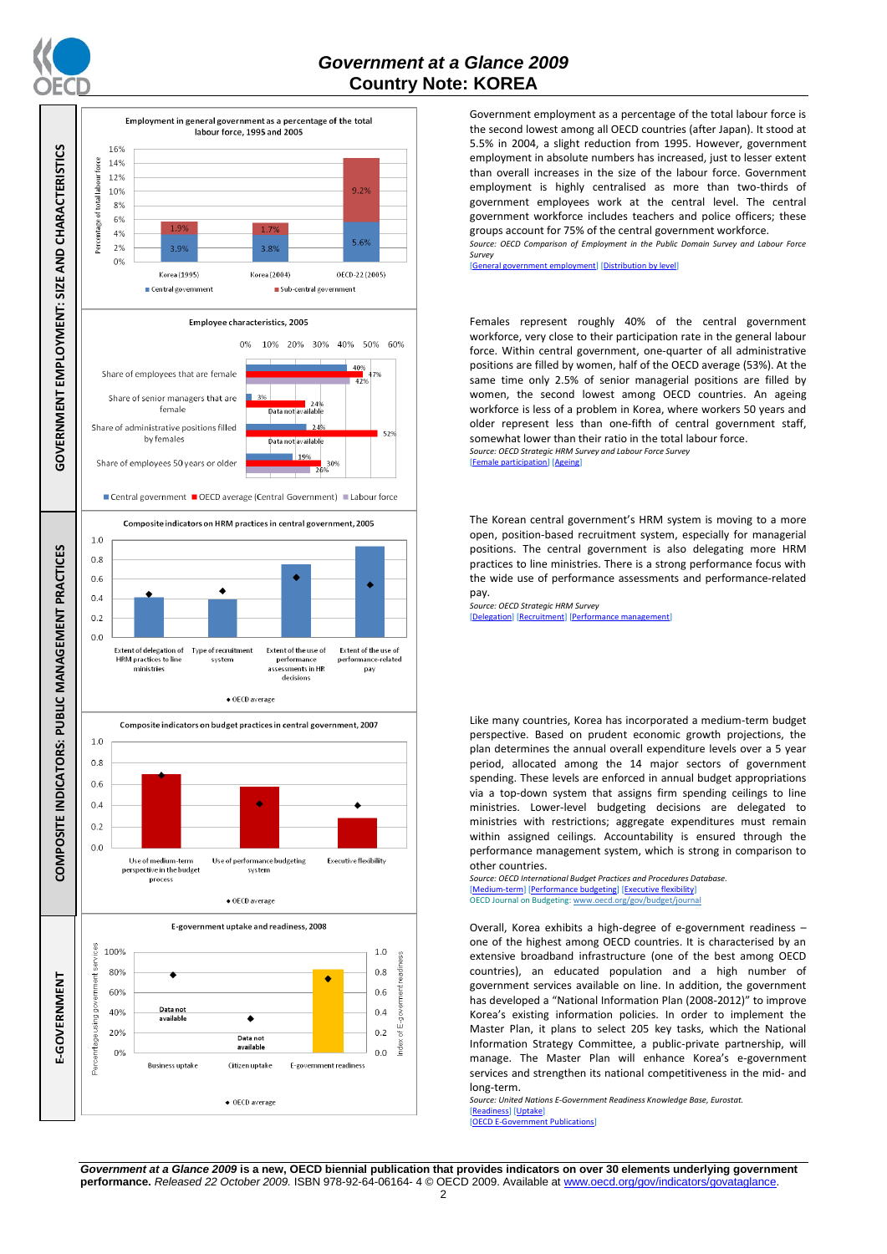

# *Government at a Glance 2009*  **Country Note: KOREA**



Government employment as a percentage of the total labour force is the second lowest among all OECD countries (after Japan). It stood at 5.5% in 2004, a slight reduction from 1995. However, government employment in absolute numbers has increased, just to lesser extent than overall increases in the size of the labour force. Government employment is highly centralised as more than two-thirds of government employees work at the central level. The central government workforce includes teachers and police officers; these groups account for 75% of the central government workforce.

*Source: OECD Comparison of Employment in the Public Domain Survey and Labour Force Survey*

rnment employment] [\[Distribution by level\]](http://dx.doi.org/10.1787/723627140760)

Females represent roughly 40% of the central government workforce, very close to their participation rate in the general labour force. Within central government, one-quarter of all administrative positions are filled by women, half of the OECD average (53%). At the same time only 2.5% of senior managerial positions are filled by women, the second lowest among OECD countries. An ageing workforce is less of a problem in Korea, where workers 50 years and older represent less than one-fifth of central government staff, somewhat lower than their ratio in the total labour force. *Source: OECD Strategic HRM Survey and Labour Force Survey*

[\[Female participation\]](http://dx.doi.org/10.1787/723642841533) [\[Ageing\]](http://dx.doi.org/10.1787/723656070327)

The Korean central government's HRM system is moving to a more open, position-based recruitment system, especially for managerial positions. The central government is also delegating more HRM practices to line ministries. There is a strong performance focus with the wide use of performance assessments and performance-related pay.

*Source: OECD Strategic HRM Survey*  [\[Delegation\]](http://dx.doi.org/10.1787/723663744332) [\[Recruitment\]](http://dx.doi.org/10.1787/723668744361) [\[Performance management\]](http://dx.doi.org/10.1787/723750171710)

Like many countries, Korea has incorporated a medium-term budget perspective. Based on prudent economic growth projections, the plan determines the annual overall expenditure levels over a 5 year period, allocated among the 14 major sectors of government spending. These levels are enforced in annual budget appropriations via a top-down system that assigns firm spending ceilings to line ministries. Lower-level budgeting decisions are delegated to ministries with restrictions; aggregate expenditures must remain within assigned ceilings. Accountability is ensured through the performance management system, which is strong in comparison to other countries.

*Source: OECD International Budget Practices and Procedures Database.* [\[Medium-term\]](http://dx.doi.org/10.1787/723856770865) [\[Performance budgeting\]](http://dx.doi.org/10.1787/723863437686) [\[Executive flexibility\]](http://dx.doi.org/10.1787/723876713213) OECD Journal on Budgeting[: www.oecd.org/gov/budget/journal](http://www.oecd.org/gov/budget/journal)

Overall, Korea exhibits a high-degree of e-government readiness – one of the highest among OECD countries. It is characterised by an extensive broadband infrastructure (one of the best among OECD countries), an educated population and a high number of government services available on line. In addition, the government has developed a "National Information Plan (2008-2012)" to improve Korea's existing information policies. In order to implement the Master Plan, it plans to select 205 key tasks, which the National Information Strategy Committee, a public-private partnership, will manage. The Master Plan will enhance Korea's e-government services and strengthen its national competitiveness in the mid- and long-term.

*Source: United Nations E-Government Readiness Knowledge Base, Eurostat.* [\[Readiness\]](http://dx.doi.org/10.1787/724248078408) [\[Uptake\]](http://dx.doi.org/10.1787/724264662272)  $[OECD]$  E-Government  $P$ 

*Government at a Glance 2009* **is a new, OECD biennial publication that provides indicators on over 30 elements underlying government performance.** *Released 22 October 2009.* ISBN 978-92-64-06164- 4 © OECD 2009. Available at www.oecd.org/gov/indicators/govataglance.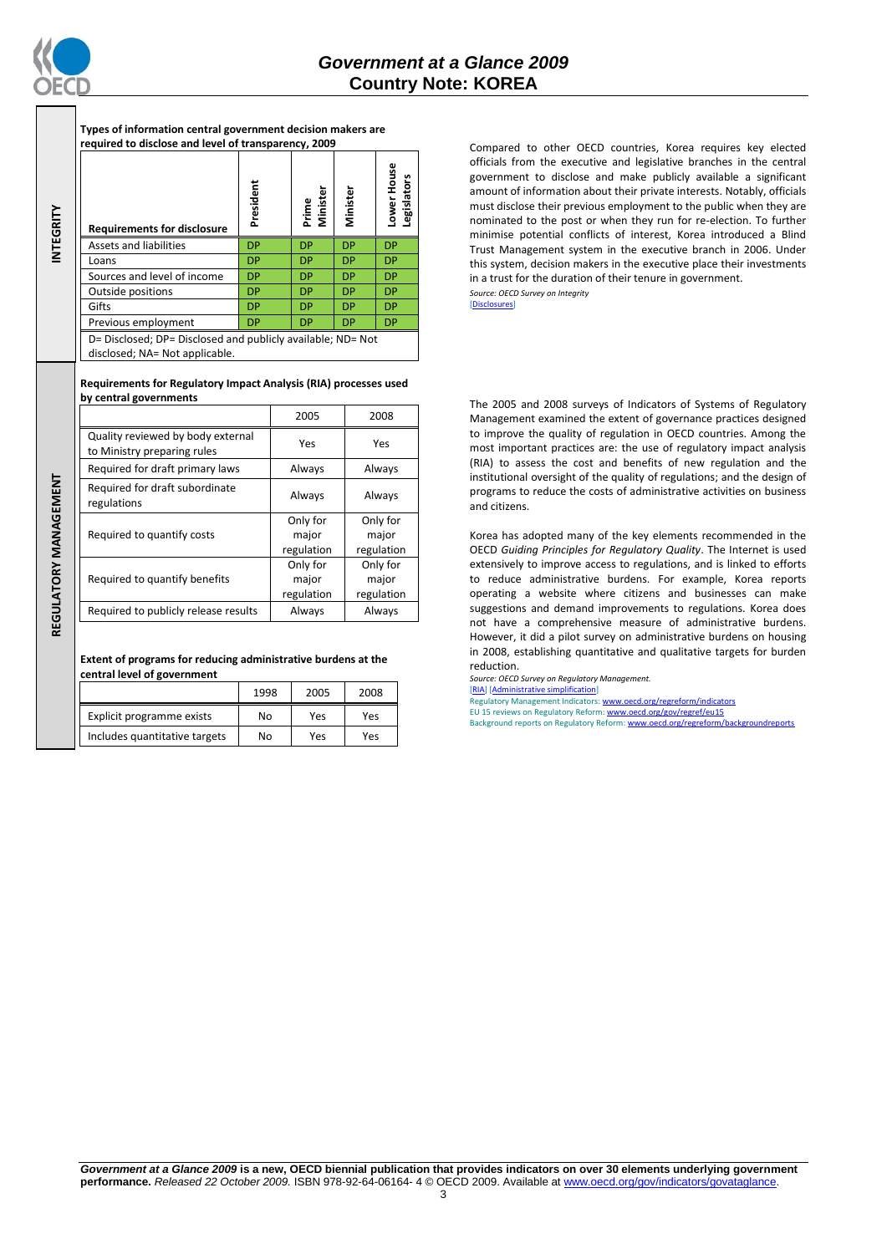

REGULATORY MANAGEMENT **REGULATORY MANAGEMENT**

**Types of information central government decision makers are required to disclose and level of transparency, 2009**

| INTEGRITY | <b>Requirements for disclosure</b>                                                            | President | Minister<br>Prime | Minister  | ower House<br>Legislators |  |
|-----------|-----------------------------------------------------------------------------------------------|-----------|-------------------|-----------|---------------------------|--|
|           | Assets and liabilities                                                                        | <b>DP</b> | <b>DP</b>         | <b>DP</b> | <b>DP</b>                 |  |
|           | Loans                                                                                         | <b>DP</b> | <b>DP</b>         | <b>DP</b> | <b>DP</b>                 |  |
|           | Sources and level of income                                                                   | <b>DP</b> | <b>DP</b>         | <b>DP</b> | <b>DP</b>                 |  |
|           | <b>Outside positions</b>                                                                      | <b>DP</b> | <b>DP</b>         | <b>DP</b> | <b>DP</b>                 |  |
|           | Gifts                                                                                         | <b>DP</b> | <b>DP</b>         | <b>DP</b> | <b>DP</b>                 |  |
|           | Previous employment                                                                           | <b>DP</b> | <b>DP</b>         | <b>DP</b> | DP                        |  |
|           | D= Disclosed; DP= Disclosed and publicly available; ND= Not<br>disclosed; NA= Not applicable. |           |                   |           |                           |  |

**Requirements for Regulatory Impact Analysis (RIA) processes used by central governments**

|                                                                  | 2005                                                               | 2008                            |
|------------------------------------------------------------------|--------------------------------------------------------------------|---------------------------------|
| Quality reviewed by body external<br>to Ministry preparing rules | Yes                                                                | Yes                             |
| Required for draft primary laws                                  | Always<br>Always                                                   |                                 |
| Required for draft subordinate<br>regulations                    | Always                                                             | Always                          |
| Required to quantify costs                                       | Only for<br>Only for<br>major<br>major<br>regulation<br>regulation |                                 |
| Required to quantify benefits                                    | Only for<br>major<br>regulation                                    | Only for<br>major<br>regulation |
| Required to publicly release results                             | Always                                                             | Always                          |

**Extent of programs for reducing administrative burdens at the central level of government**

|                               | 1998 | 2005 | 2008 |
|-------------------------------|------|------|------|
| Explicit programme exists     | No   | Yes  | Yes  |
| Includes quantitative targets | No   | Yes  | Yes  |

Compared to other OECD countries, Korea requires key elected officials from the executive and legislative branches in the central government to disclose and make publicly available a significant amount of information about their private interests. Notably, officials must disclose their previous employment to the public when they are nominated to the post or when they run for re-election. To further minimise potential conflicts of interest, Korea introduced a Blind Trust Management system in the executive branch in 2006. Under this system, decision makers in the executive place their investments in a trust for the duration of their tenure in government. *Source: OECD Survey on Integrity*

[\[Disclosures\]](http://dx.doi.org/10.1787/724123642681)

The 2005 and 2008 surveys of Indicators of Systems of Regulatory Management examined the extent of governance practices designed to improve the quality of regulation in OECD countries. Among the most important practices are: the use of regulatory impact analysis (RIA) to assess the cost and benefits of new regulation and the institutional oversight of the quality of regulations; and the design of programs to reduce the costs of administrative activities on business and citizens.

Korea has adopted many of the key elements recommended in the OECD *Guiding Principles for Regulatory Quality*. The Internet is used extensively to improve access to regulations, and is linked to efforts to reduce administrative burdens. For example, Korea reports operating a website where citizens and businesses can make suggestions and demand improvements to regulations. Korea does not have a comprehensive measure of administrative burdens. However, it did a pilot survey on administrative burdens on housing in 2008, establishing quantitative and qualitative targets for burden reduction.

*Source: OECD Survey on Regulatory Management.* [\[RIA\]](http://dx.doi.org/10.1787/724045144354) [\[Administrative simplification\]](http://dx.doi.org/10.1787/724058851054) Regulatory Management Indicators[: www.oecd.org/regreform/indicators](http://www.oecd.org/regreform/indicators) EU 15 reviews on Regulatory Reform[: www.oecd.org/gov/regref/eu15](http://www.oecd.org/gov/regref/eu15) Background reports on Regulatory Reform[: www.oecd.org/regreform/backgroundreports](http://www.oecd.org/regreform/backgroundreports)